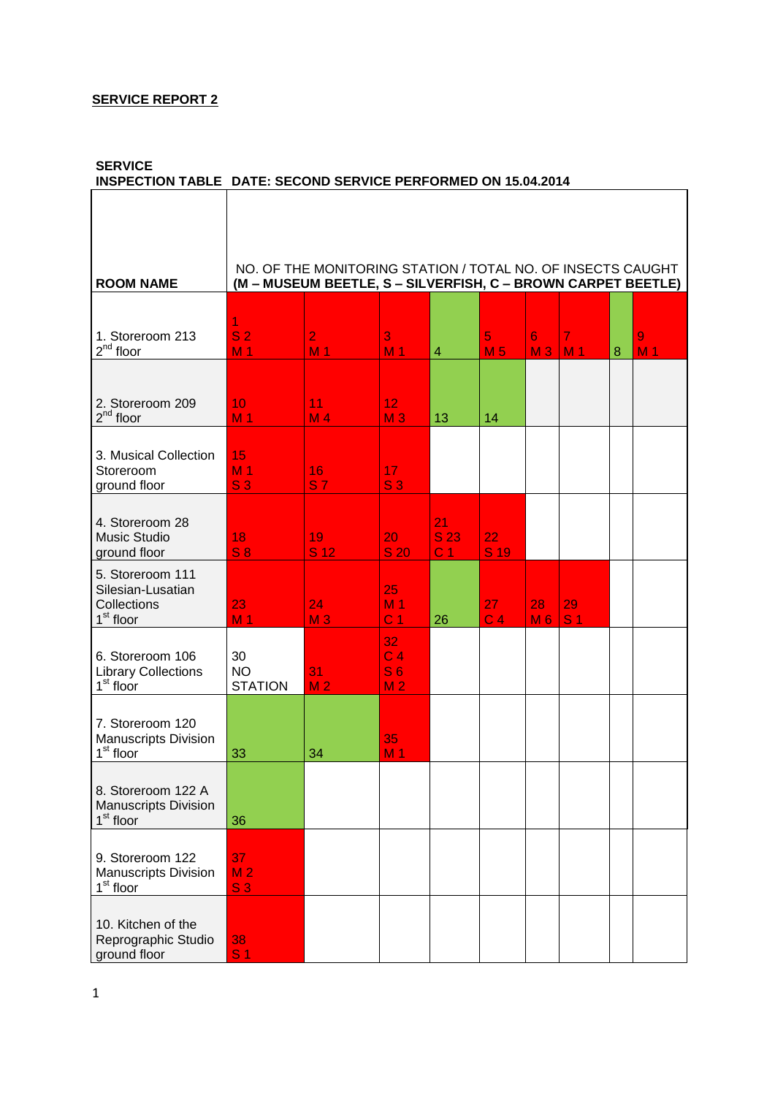# **SERVICE REPORT 2**

# **SERVICE**

# **INSPECTION TABLE DATE: SECOND SERVICE PERFORMED ON 15.04.2014**

Ĕ

| <b>ROOM NAME</b>                                                              |                                        | NO. OF THE MONITORING STATION / TOTAL NO. OF INSECTS CAUGHT<br>(M - MUSEUM BEETLE, S - SILVERFISH, C - BROWN CARPET BEETLE) |                                                          |                              |                      |                      |                                  |   |                     |
|-------------------------------------------------------------------------------|----------------------------------------|-----------------------------------------------------------------------------------------------------------------------------|----------------------------------------------------------|------------------------------|----------------------|----------------------|----------------------------------|---|---------------------|
|                                                                               |                                        |                                                                                                                             |                                                          |                              |                      |                      |                                  |   |                     |
| 1. Storeroom 213<br>$2^{nd}$ floor                                            | 1<br>S <sub>2</sub><br>M <sub>1</sub>  | $\overline{2}$<br>M <sub>1</sub>                                                                                            | 3<br>M <sub>1</sub>                                      | $\overline{4}$               | 5<br>M <sub>5</sub>  | 6<br>M <sub>3</sub>  | $\overline{7}$<br>M <sub>1</sub> | 8 | 9<br>M <sub>1</sub> |
|                                                                               |                                        |                                                                                                                             |                                                          |                              |                      |                      |                                  |   |                     |
| 2. Storeroom 209<br>$2^{nd}$ floor                                            | 10<br>M <sub>1</sub>                   | 11<br>M <sub>4</sub>                                                                                                        | 12 <sub>2</sub><br>M <sub>3</sub>                        | 13                           | 14                   |                      |                                  |   |                     |
| 3. Musical Collection<br>Storeroom<br>ground floor                            | 15<br>M <sub>1</sub><br>S <sub>3</sub> | 16<br>S <sub>7</sub>                                                                                                        | 17<br>S <sub>3</sub>                                     |                              |                      |                      |                                  |   |                     |
| 4. Storeroom 28<br><b>Music Studio</b><br>ground floor                        | 18<br>S <sub>8</sub>                   | 19<br>S 12                                                                                                                  | 20<br><b>S 20</b>                                        | 21<br>S 23<br>C <sub>1</sub> | 22<br>S 19           |                      |                                  |   |                     |
| 5. Storeroom 111<br>Silesian-Lusatian<br>Collections<br>1 <sup>st</sup> floor | 23<br>M <sub>1</sub>                   | 24<br>M <sub>3</sub>                                                                                                        | 25<br>M <sub>1</sub><br>C <sub>1</sub>                   | 26                           | 27<br>C <sub>4</sub> | 28<br>M <sub>6</sub> | 29<br>S <sub>1</sub>             |   |                     |
| 6. Storeroom 106<br><b>Library Collections</b><br>$1st$ floor                 | 30<br><b>NO</b><br><b>STATION</b>      | 31<br>M <sub>2</sub>                                                                                                        | 32<br>C <sub>4</sub><br>S <sub>6</sub><br>M <sub>2</sub> |                              |                      |                      |                                  |   |                     |
| 7. Storeroom 120<br><b>Manuscripts Division</b><br>$1st$ floor                | 33                                     | 34                                                                                                                          | 35<br>M <sub>1</sub>                                     |                              |                      |                      |                                  |   |                     |
| 8. Storeroom 122 A<br><b>Manuscripts Division</b><br>1 <sup>st</sup> floor    | 36                                     |                                                                                                                             |                                                          |                              |                      |                      |                                  |   |                     |
| 9. Storeroom 122<br><b>Manuscripts Division</b><br>1 <sup>st</sup> floor      | 37<br>M <sub>2</sub><br>S <sub>3</sub> |                                                                                                                             |                                                          |                              |                      |                      |                                  |   |                     |
| 10. Kitchen of the<br>Reprographic Studio<br>ground floor                     | 38<br>S <sub>1</sub>                   |                                                                                                                             |                                                          |                              |                      |                      |                                  |   |                     |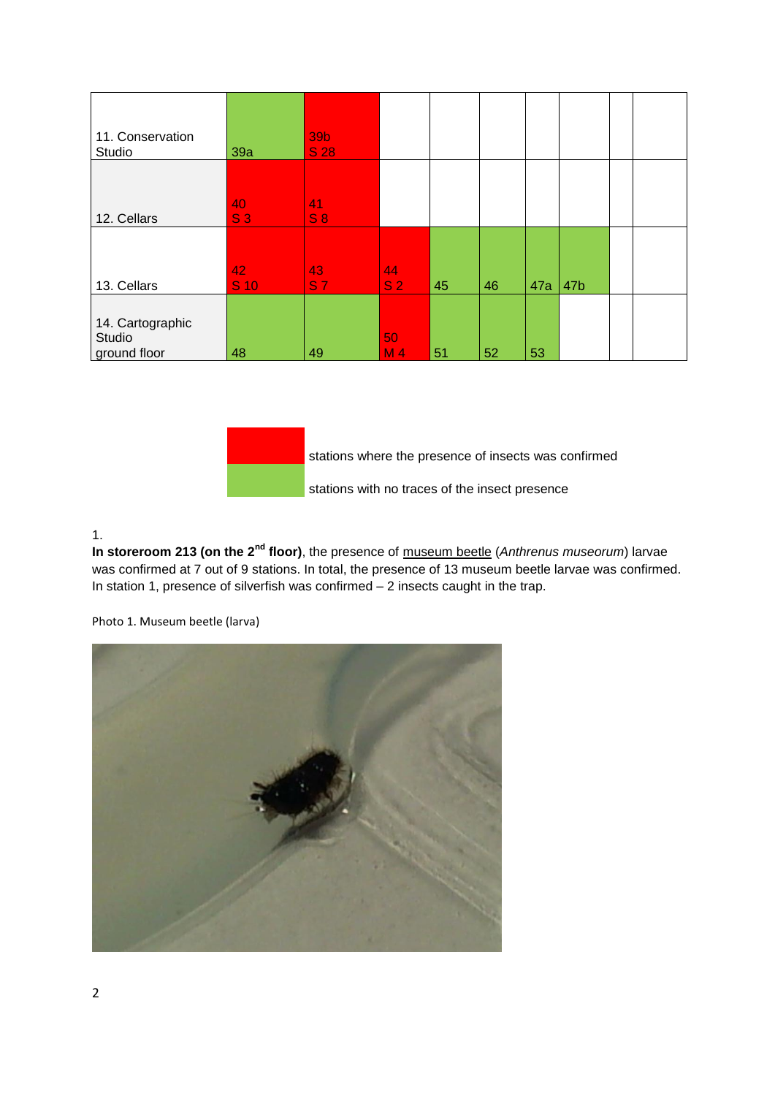|                | 39b                   |                          |                            |    |     |     |  |
|----------------|-----------------------|--------------------------|----------------------------|----|-----|-----|--|
|                |                       |                          |                            |    |     |     |  |
|                |                       |                          |                            |    |     |     |  |
| S <sub>3</sub> | S8                    |                          |                            |    |     |     |  |
|                |                       |                          |                            |    |     |     |  |
|                |                       |                          |                            |    |     |     |  |
| $S$ 10         | <b>S7</b>             | S <sub>2</sub>           | 45                         | 46 | 47a | 47b |  |
|                |                       |                          |                            |    |     |     |  |
|                |                       |                          |                            |    |     |     |  |
|                |                       |                          |                            |    |     |     |  |
|                | 39a<br>40<br>42<br>48 | $S$ 28<br>41<br>43<br>49 | 44<br>50<br>M <sub>4</sub> | 51 | 52  | 53  |  |



stations where the presence of insects was confirmed

stations with no traces of the insect presence

#### 1.

**In storeroom 213 (on the 2nd floor)**, the presence of museum beetle (*Anthrenus museorum*) larvae was confirmed at 7 out of 9 stations. In total, the presence of 13 museum beetle larvae was confirmed. In station 1, presence of silverfish was confirmed – 2 insects caught in the trap.

Photo 1. Museum beetle (larva)

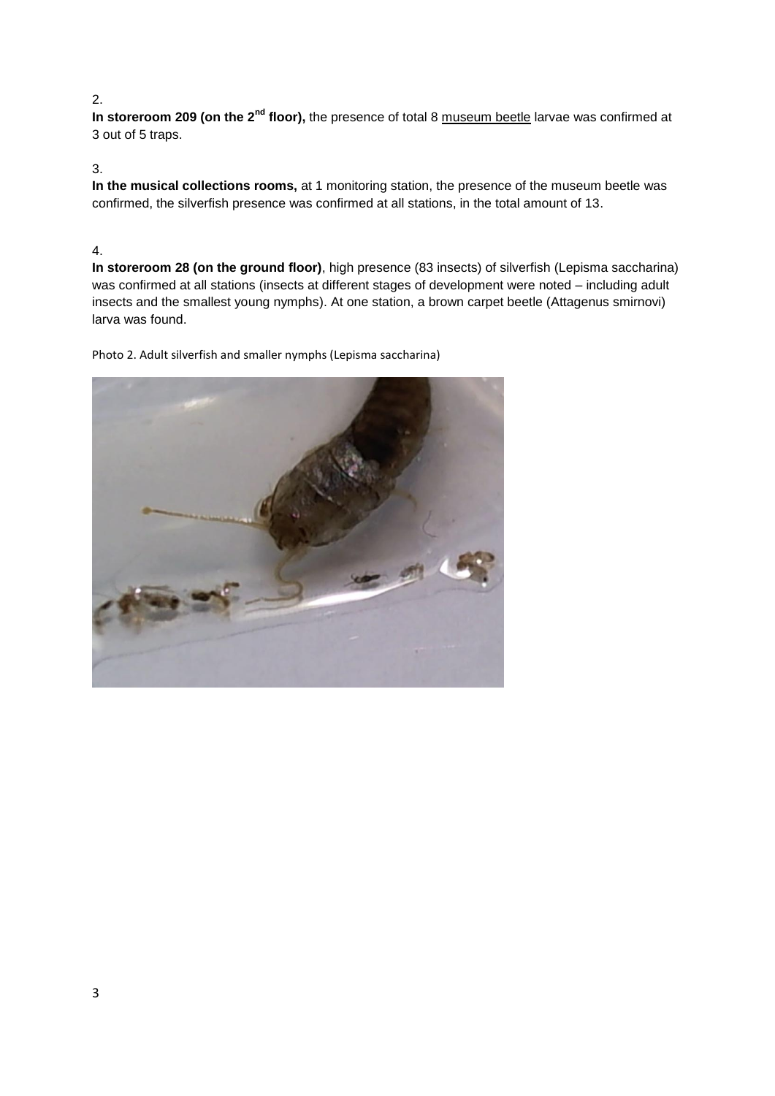# 2.

In storeroom 209 (on the 2<sup>nd</sup> floor), the presence of total 8 museum beetle larvae was confirmed at 3 out of 5 traps.

# 3.

**In the musical collections rooms,** at 1 monitoring station, the presence of the museum beetle was confirmed, the silverfish presence was confirmed at all stations, in the total amount of 13.

# 4.

**In storeroom 28 (on the ground floor)**, high presence (83 insects) of silverfish (Lepisma saccharina) was confirmed at all stations (insects at different stages of development were noted – including adult insects and the smallest young nymphs). At one station, a brown carpet beetle (Attagenus smirnovi) larva was found.

Photo 2. Adult silverfish and smaller nymphs (Lepisma saccharina)

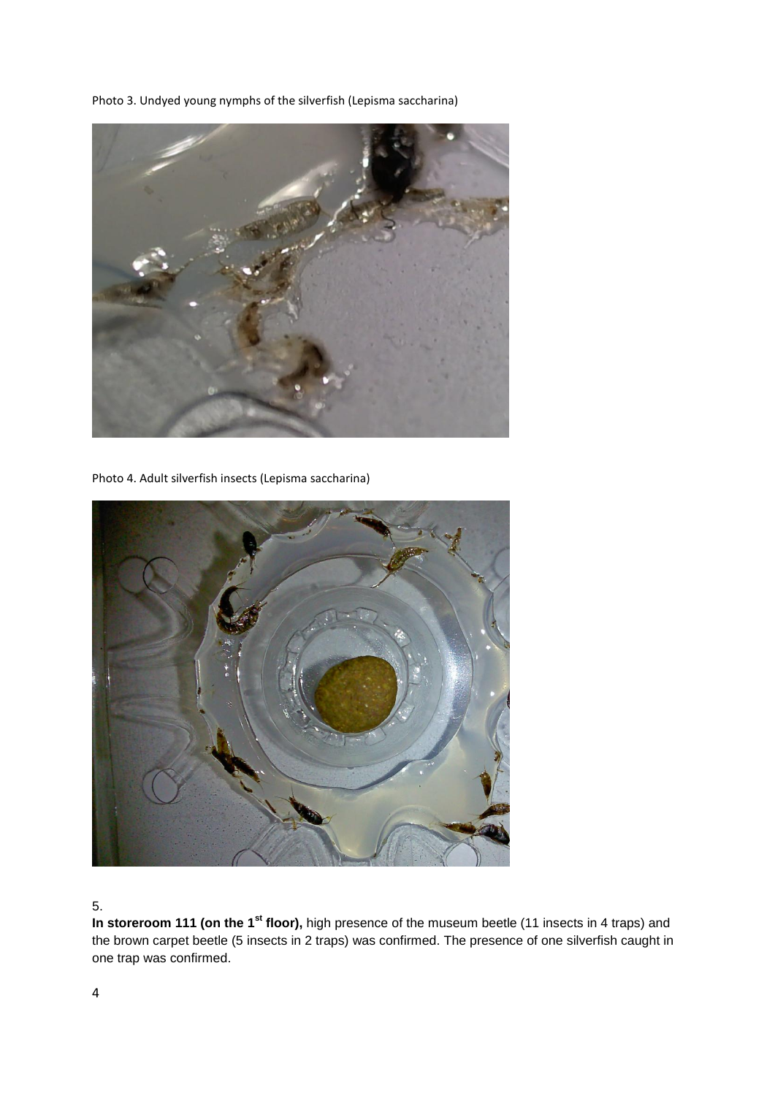Photo 3. Undyed young nymphs of the silverfish (Lepisma saccharina)



Photo 4. Adult silverfish insects (Lepisma saccharina)



## 5.

In storeroom 111 (on the 1<sup>st</sup> floor), high presence of the museum beetle (11 insects in 4 traps) and the brown carpet beetle (5 insects in 2 traps) was confirmed. The presence of one silverfish caught in one trap was confirmed.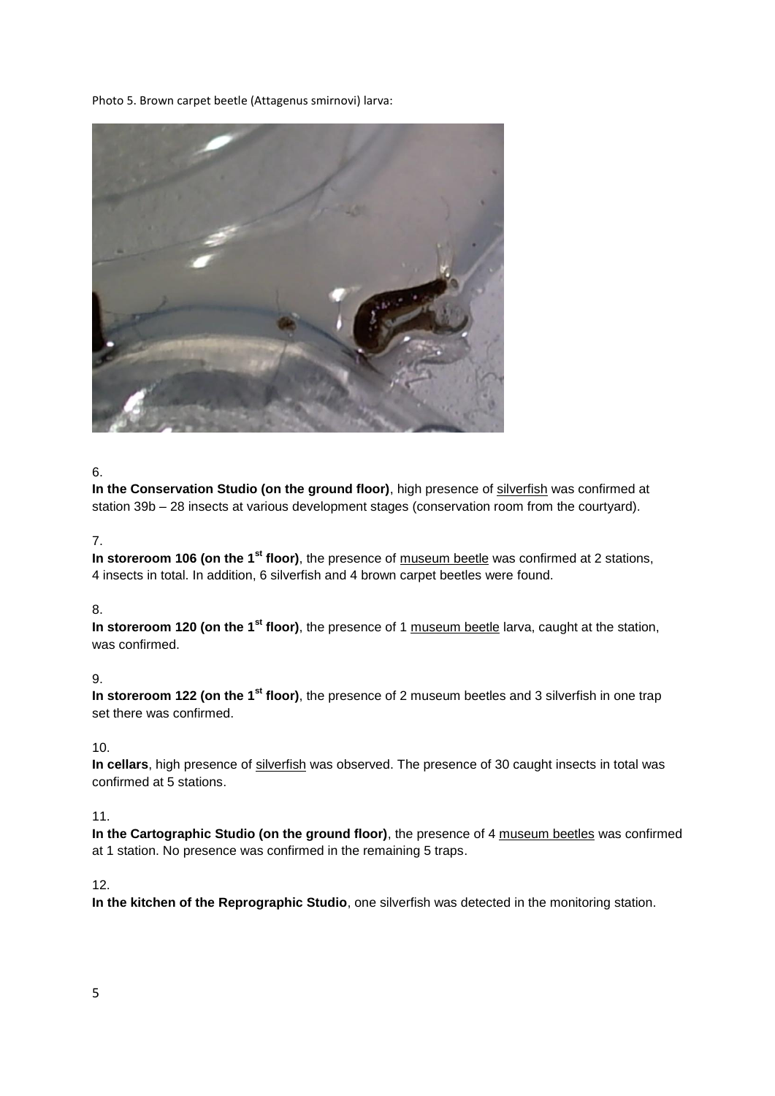Photo 5. Brown carpet beetle (Attagenus smirnovi) larva:



#### 6.

**In the Conservation Studio (on the ground floor)**, high presence of silverfish was confirmed at station 39b – 28 insects at various development stages (conservation room from the courtyard).

# 7.

In storeroom 106 (on the 1<sup>st</sup> floor), the presence of museum beetle was confirmed at 2 stations, 4 insects in total. In addition, 6 silverfish and 4 brown carpet beetles were found.

## 8.

**In storeroom 120 (on the 1st floor)**, the presence of 1 museum beetle larva, caught at the station, was confirmed.

# 9.

In storeroom 122 (on the 1<sup>st</sup> floor), the presence of 2 museum beetles and 3 silverfish in one trap set there was confirmed.

## 10.

**In cellars**, high presence of silverfish was observed. The presence of 30 caught insects in total was confirmed at 5 stations.

## 11.

**In the Cartographic Studio (on the ground floor)**, the presence of 4 museum beetles was confirmed at 1 station. No presence was confirmed in the remaining 5 traps.

# 12.

**In the kitchen of the Reprographic Studio**, one silverfish was detected in the monitoring station.